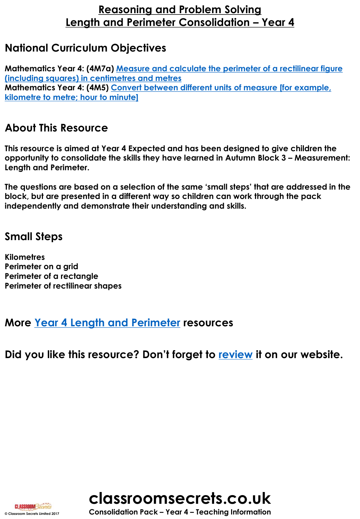## **National Curriculum Objectives**

**Mathematics Year 4: (4M7a) [Measure and calculate the perimeter of a rectilinear figure](http://classroomsecrets.co.uk/content-domain-filter/?fwp_contentdomain=4m7a)  (including squares) in centimetres and metres Mathematics Year 4: (4M5) [Convert between different units of measure \[for example,](http://classroomsecrets.co.uk/content-domain-filter/?fwp_contentdomain=4m5) kilometre to metre; hour to minute]**

## **About This Resource**

**This resource is aimed at Year 4 Expected and has been designed to give children the opportunity to consolidate the skills they have learned in Autumn Block 3 – Measurement: Length and Perimeter.** 

**The questions are based on a selection of the same 'small steps' that are addressed in the block, but are presented in a different way so children can work through the pack independently and demonstrate their understanding and skills.** 

## **Small Steps**

**Kilometres Perimeter on a grid Perimeter of a rectangle Perimeter of rectilinear shapes**

## **More [Year 4 Length and Perimeter](https://classroomsecrets.co.uk/category/maths/year-4/autumn-block-3-length-and-perimeter/) resources**

**Did you like this resource? Don't forget to [review](https://classroomsecrets.co.uk/measurement-length-and-perimeter-consolidation-year-4-block-3-wrm-reasoning-and-problem-solving) it on our website.**





**CLASSROOM Secrets**<br>
© Consolidation Pack – Year 4 – Teaching Information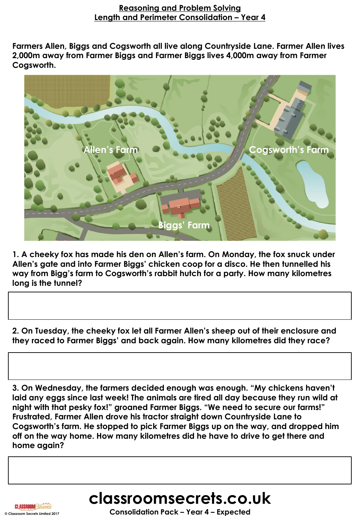**Farmers Allen, Biggs and Cogsworth all live along Countryside Lane. Farmer Allen lives 2,000m away from Farmer Biggs and Farmer Biggs lives 4,000m away from Farmer Cogsworth.** 



**1. A cheeky fox has made his den on Allen's farm. On Monday, the fox snuck under Allen's gate and into Farmer Biggs' chicken coop for a disco. He then tunnelled his way from Bigg's farm to Cogsworth's rabbit hutch for a party. How many kilometres long is the tunnel?** 

**2. On Tuesday, the cheeky fox let all Farmer Allen's sheep out of their enclosure and they raced to Farmer Biggs' and back again. How many kilometres did they race?** 

**3. On Wednesday, the farmers decided enough was enough. "My chickens haven't laid any eggs since last week! The animals are tired all day because they run wild at night with that pesky fox!" groaned Farmer Biggs. "We need to secure our farms!" Frustrated, Farmer Allen drove his tractor straight down Countryside Lane to Cogsworth's farm. He stopped to pick Farmer Biggs up on the way, and dropped him off on the way home. How many kilometres did he have to drive to get there and home again?**



**CLASSROOM**Sed

**© Classroom Secrets Limited 2017 Consolidation Pack – Year 4 – Expected**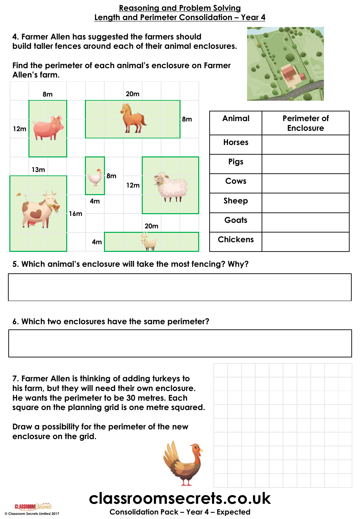#### **4. Farmer Allen has suggested the farmers should build taller fences around each of their animal enclosures.**

**Find the perimeter of each animal's enclosure on Farmer Allen's farm.** 

**8m 20m**



|     | ----        |     |                               |    |     |     |                   |             |                 |                                  |
|-----|-------------|-----|-------------------------------|----|-----|-----|-------------------|-------------|-----------------|----------------------------------|
| 12m |             |     |                               |    |     |     |                   | 8m          | Animal          | Perimeter of<br><b>Enclosure</b> |
|     |             |     |                               |    |     |     |                   |             | <b>Horses</b>   |                                  |
|     | 13m         |     | $\frac{\partial}{\partial x}$ | 8m | 12m |     |                   | <b>Pigs</b> |                 |                                  |
|     |             |     |                               |    |     |     |                   |             | Cows            |                                  |
|     |             |     | 4m                            |    |     |     | $\mathsf{L}$<br>T |             | <b>Sheep</b>    |                                  |
|     | <b>TERS</b> | 16m |                               |    |     | 20m |                   |             | Goats           |                                  |
|     |             |     | 4m                            |    |     | W   |                   |             | <b>Chickens</b> |                                  |

**5. Which animal's enclosure will take the most fencing? Why?** 

#### **6. Which two enclosures have the same perimeter?**

**7. Farmer Allen is thinking of adding turkeys to his farm, but they will need their own enclosure. He wants the perimeter to be 30 metres. Each square on the planning grid is one metre squared.** 

**Draw a possibility for the perimeter of the new enclosure on the grid.**





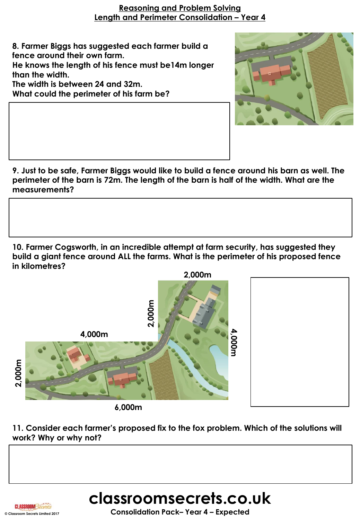**8. Farmer Biggs has suggested each farmer build a fence around their own farm.** 

**He knows the length of his fence must be14m longer than the width.** 

**The width is between 24 and 32m. What could the perimeter of his farm be?** 



**9. Just to be safe, Farmer Biggs would like to build a fence around his barn as well. The perimeter of the barn is 72m. The length of the barn is half of the width. What are the measurements?** 

**10. Farmer Cogsworth, in an incredible attempt at farm security, has suggested they build a giant fence around ALL the farms. What is the perimeter of his proposed fence in kilometres?**



**11. Consider each farmer's proposed fix to the fox problem. Which of the solutions will work? Why or why not?** 



# **classroomsecrets.co.uk**

**© Classroom Secrets Limited 2017 Consolidation Pack– Year 4 – Expected**